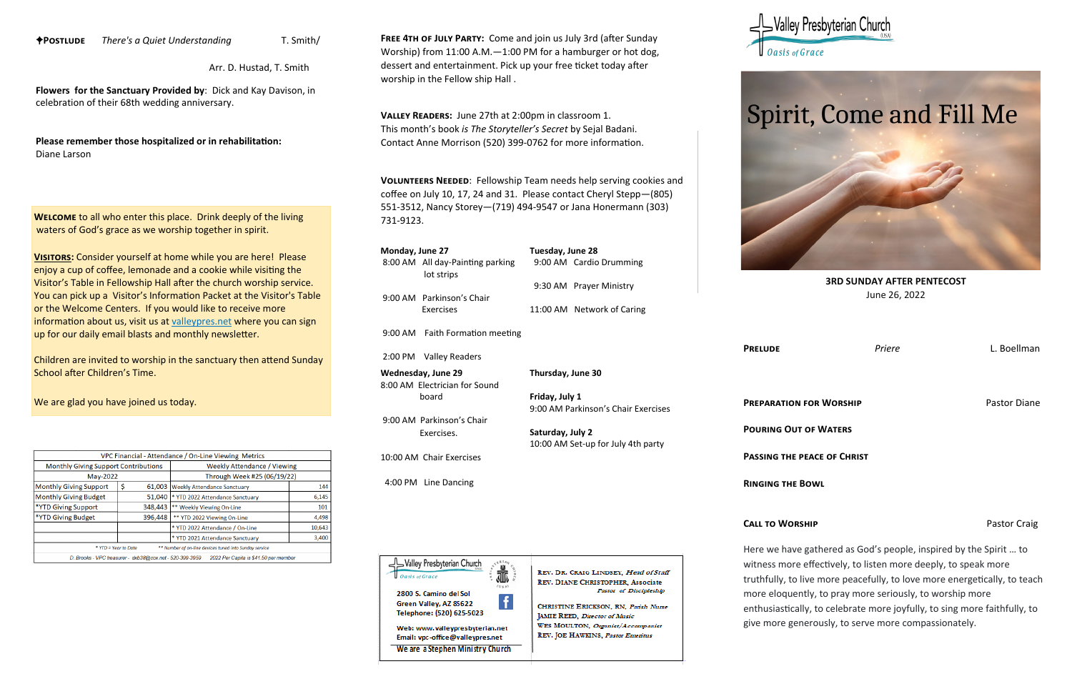**3RD SUNDAY AFTER PENTECOST** June 26, 2022

**Prelude** *Priere* L. Boellman

**PREPARATION FOR WORSHIP PREPARATION FOR WORSHIP** 

**Pouring Out of Waters**

**Passing the peace of Christ**

**Ringing the Bowl** 

# Valley Presbyterian Churcl -

**Oasis** of Grace



Here we have gathered as God's people, inspired by the Spirit … to witness more effectively, to listen more deeply, to speak more truthfully, to live more peacefully, to love more energetically, to teach more eloquently, to pray more seriously, to worship more enthusiastically, to celebrate more joyfully, to sing more faithfully, to give more generously, to serve more compassionately.

**CALL TO WORSHIP Pastor Craig** 

**Valley Readers:** June 27th at 2:00pm in classroom 1. This month's book *is The Storyteller's Secret* by Sejal Badani. Contact Anne Morrison (520) 399-0762 for more information.  $\frac{1}{2}$ 

**Postlude** *There's a Quiet Understanding* T. Smith/

Arr. D. Hustad, T. Smith

**Flowers for the Sanctuary Provided by**: Dick and Kay Davison, in celebration of their 68th wedding anniversary.

**Please remember those hospitalized or in rehabilitation:**  Diane Larson

> **Volunteers Needed**: Fellowship Team needs help serving cookies and coffee on July 10, 17, 24 and 31. Please contact Cheryl Stepp—(805) 551-3512, Nancy Storey—(719) 494-9547 or Jana Honermann (303) 731-9123.

**Welcome** to all who enter this place. Drink deeply of the living waters of God's grace as we worship together in spirit.

**VISITORS:** Consider yourself at home while you are here! Please enjoy a cup of coffee, lemonade and a cookie while visiting the Visitor's Table in Fellowship Hall after the church worship service. You can pick up a Visitor's Information Packet at the Visitor's Table or the Welcome Centers. If you would like to receive more information about us, visit us at [valleypres.net](http://valleypres.net) where you can sign up for our daily email blasts and monthly newsletter.

Children are invited to worship in the sanctuary then attend Sunday School after Children's Time.

We are glad you have joined us today.

|                                                                                                   |               | VPC Financial - Attendance / On-Line Viewing Metrics   |        |  |
|---------------------------------------------------------------------------------------------------|---------------|--------------------------------------------------------|--------|--|
| <b>Monthly Giving Support Contributions</b>                                                       |               | <b>Weekly Attendance / Viewing</b>                     |        |  |
| May-2022                                                                                          |               | Through Week #25 (06/19/22)                            |        |  |
| <b>Monthly Giving Support</b>                                                                     | \$.<br>61,003 | <b>Weekly Attendance Sanctuary</b>                     | 144    |  |
| <b>Monthly Giving Budget</b>                                                                      | 51,040        | * YTD 2022 Attendance Sanctuary                        | 6.145  |  |
| *YTD Giving Support                                                                               | 348,443       | ** Weekly Viewing On-Line                              |        |  |
| *YTD Giving Budget                                                                                | 396,448       | ** YTD 2022 Viewing On-Line<br>4.498                   |        |  |
|                                                                                                   |               | * YTD 2022 Attendance / On-Line                        | 10,643 |  |
|                                                                                                   |               | * YTD 2021 Attendance Sanctuary                        | 3,400  |  |
| * YTD = Year to Date                                                                              |               | ** Number of on-line devices tuned into Sunday service |        |  |
| D. Brooks - VPC treasurer - dxb38@cox.net - 520-399-3959<br>2022 Per Capita is \$41.50 per member |               |                                                        |        |  |
|                                                                                                   |               |                                                        |        |  |

9:00 AM Faith Formation meeting

| Monday, June 27 |                                                | Tuesday, June 28 |                            |
|-----------------|------------------------------------------------|------------------|----------------------------|
|                 | 8:00 AM All day-Painting parking<br>lot strips |                  | 9:00 AM Cardio Drumming    |
|                 |                                                |                  | 9:30 AM Prayer Ministry    |
|                 | 9:00 AM Parkinson's Chair                      |                  |                            |
|                 | Exercises                                      |                  | 11:00 AM Network of Caring |

2:00 PM Valley Readers

**Wednesday, June 29** 8:00 AM Electrician for Sound board

9:00 AM Parkinson's Chair Exercises.

10:00 AM Chair Exercises

4:00 PM Line Dancing



REV. DR. CRAIG LINDSEY, Head of Staff REV. DIANE CHRISTOPHER, Associate Pastor of Discipleship

**Thursday, June 30**

**Friday, July 1**

9:00 AM Parkinson's Chair Exercises

**Saturday, July 2**

10:00 AM Set-up for July 4th party

CHRISTINE ERICKSON, RN, Patish Nurse **JAMIE REED, Director of Music** WES MOULTON, Organist/Accompanist REV. JOE HAWKINS, Pastor Emeritus





**Free 4th of July Party:** Come and join us July 3rd (after Sunday Worship) from 11:00 A.M.—1:00 PM for a hamburger or hot dog, dessert and entertainment. Pick up your free ticket today after worship in the Fellow ship Hall .